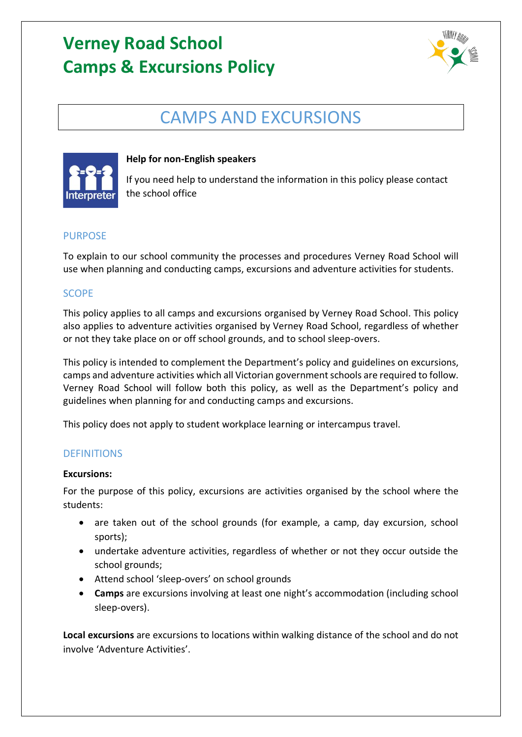

## CAMPS AND EXCURSIONS



### **Help for non-English speakers**

If you need help to understand the information in this policy please contact the school office

### PURPOSE

To explain to our school community the processes and procedures Verney Road School will use when planning and conducting camps, excursions and adventure activities for students.

## SCOPE

This policy applies to all camps and excursions organised by Verney Road School. This policy also applies to adventure activities organised by Verney Road School, regardless of whether or not they take place on or off school grounds, and to school sleep-overs.

This policy is intended to complement the Department's policy and guidelines on excursions, camps and adventure activities which all Victorian government schools are required to follow. Verney Road School will follow both this policy, as well as the Department's policy and guidelines when planning for and conducting camps and excursions.

This policy does not apply to student workplace learning or intercampus travel.

### **DEFINITIONS**

#### **Excursions:**

For the purpose of this policy, excursions are activities organised by the school where the students:

- are taken out of the school grounds (for example, a camp, day excursion, school sports);
- undertake adventure activities, regardless of whether or not they occur outside the school grounds;
- Attend school 'sleep-overs' on school grounds
- **Camps** are excursions involving at least one night's accommodation (including school sleep-overs).

**Local excursions** are excursions to locations within walking distance of the school and do not involve 'Adventure Activities'.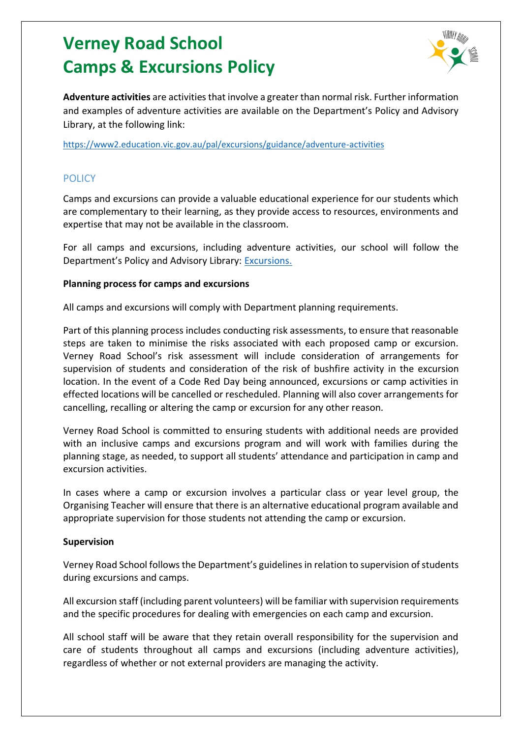

**Adventure activities** are activities that involve a greater than normal risk. Further information and examples of adventure activities are available on the Department's Policy and Advisory Library, at the following link:

<https://www2.education.vic.gov.au/pal/excursions/guidance/adventure-activities>

## **POLICY**

Camps and excursions can provide a valuable educational experience for our students which are complementary to their learning, as they provide access to resources, environments and expertise that may not be available in the classroom.

For all camps and excursions, including adventure activities, our school will follow the Department's Policy and Advisory Library: [Excursions.](https://www2.education.vic.gov.au/pal/excursions/policy)

#### **Planning process for camps and excursions**

All camps and excursions will comply with Department planning requirements.

Part of this planning process includes conducting risk assessments, to ensure that reasonable steps are taken to minimise the risks associated with each proposed camp or excursion. Verney Road School's risk assessment will include consideration of arrangements for supervision of students and consideration of the risk of bushfire activity in the excursion location. In the event of a Code Red Day being announced, excursions or camp activities in effected locations will be cancelled or rescheduled. Planning will also cover arrangements for cancelling, recalling or altering the camp or excursion for any other reason.

Verney Road School is committed to ensuring students with additional needs are provided with an inclusive camps and excursions program and will work with families during the planning stage, as needed, to support all students' attendance and participation in camp and excursion activities.

In cases where a camp or excursion involves a particular class or year level group, the Organising Teacher will ensure that there is an alternative educational program available and appropriate supervision for those students not attending the camp or excursion.

#### **Supervision**

Verney Road School follows the Department's guidelines in relation to supervision of students during excursions and camps.

All excursion staff (including parent volunteers) will be familiar with supervision requirements and the specific procedures for dealing with emergencies on each camp and excursion.

All school staff will be aware that they retain overall responsibility for the supervision and care of students throughout all camps and excursions (including adventure activities), regardless of whether or not external providers are managing the activity.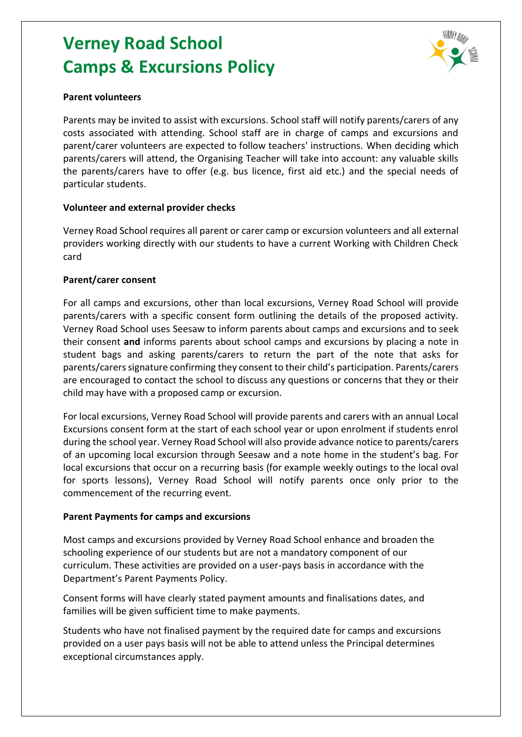

#### **Parent volunteers**

Parents may be invited to assist with excursions. School staff will notify parents/carers of any costs associated with attending. School staff are in charge of camps and excursions and parent/carer volunteers are expected to follow teachers' instructions. When deciding which parents/carers will attend, the Organising Teacher will take into account: any valuable skills the parents/carers have to offer (e.g. bus licence, first aid etc.) and the special needs of particular students.

#### **Volunteer and external provider checks**

Verney Road School requires all parent or carer camp or excursion volunteers and all external providers working directly with our students to have a current Working with Children Check card

#### **Parent/carer consent**

For all camps and excursions, other than local excursions, Verney Road School will provide parents/carers with a specific consent form outlining the details of the proposed activity. Verney Road School uses Seesaw to inform parents about camps and excursions and to seek their consent **and** informs parents about school camps and excursions by placing a note in student bags and asking parents/carers to return the part of the note that asks for parents/carers signature confirming they consent to their child's participation. Parents/carers are encouraged to contact the school to discuss any questions or concerns that they or their child may have with a proposed camp or excursion.

For local excursions, Verney Road School will provide parents and carers with an annual Local Excursions consent form at the start of each school year or upon enrolment if students enrol during the school year. Verney Road School will also provide advance notice to parents/carers of an upcoming local excursion through Seesaw and a note home in the student's bag. For local excursions that occur on a recurring basis (for example weekly outings to the local oval for sports lessons), Verney Road School will notify parents once only prior to the commencement of the recurring event.

#### **Parent Payments for camps and excursions**

Most camps and excursions provided by Verney Road School enhance and broaden the schooling experience of our students but are not a mandatory component of our curriculum. These activities are provided on a user-pays basis in accordance with the Department's Parent Payments Policy.

Consent forms will have clearly stated payment amounts and finalisations dates, and families will be given sufficient time to make payments.

Students who have not finalised payment by the required date for camps and excursions provided on a user pays basis will not be able to attend unless the Principal determines exceptional circumstances apply.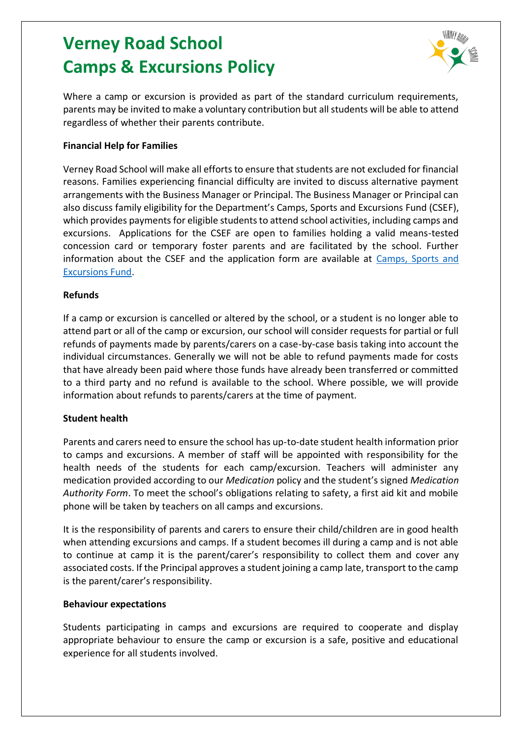

Where a camp or excursion is provided as part of the standard curriculum requirements, parents may be invited to make a voluntary contribution but all students will be able to attend regardless of whether their parents contribute.

#### **Financial Help for Families**

Verney Road School will make all efforts to ensure that students are not excluded for financial reasons. Families experiencing financial difficulty are invited to discuss alternative payment arrangements with the Business Manager or Principal. The Business Manager or Principal can also discuss family eligibility for the Department's Camps, Sports and Excursions Fund (CSEF), which provides payments for eligible students to attend school activities, including camps and excursions. Applications for the CSEF are open to families holding a valid means-tested concession card or temporary foster parents and are facilitated by the school. Further information about the CSEF and the application form are available at [Camps, Sports and](https://www2.education.vic.gov.au/pal/camps-sports-and-excursions-fund/policy)  [Excursions Fund.](https://www2.education.vic.gov.au/pal/camps-sports-and-excursions-fund/policy)

#### **Refunds**

If a camp or excursion is cancelled or altered by the school, or a student is no longer able to attend part or all of the camp or excursion, our school will consider requests for partial or full refunds of payments made by parents/carers on a case-by-case basis taking into account the individual circumstances. Generally we will not be able to refund payments made for costs that have already been paid where those funds have already been transferred or committed to a third party and no refund is available to the school. Where possible, we will provide information about refunds to parents/carers at the time of payment.

#### **Student health**

Parents and carers need to ensure the school has up-to-date student health information prior to camps and excursions. A member of staff will be appointed with responsibility for the health needs of the students for each camp/excursion. Teachers will administer any medication provided according to our *Medication* policy and the student's signed *Medication Authority Form*. To meet the school's obligations relating to safety, a first aid kit and mobile phone will be taken by teachers on all camps and excursions.

It is the responsibility of parents and carers to ensure their child/children are in good health when attending excursions and camps. If a student becomes ill during a camp and is not able to continue at camp it is the parent/carer's responsibility to collect them and cover any associated costs. If the Principal approves a student joining a camp late, transport to the camp is the parent/carer's responsibility.

#### **Behaviour expectations**

Students participating in camps and excursions are required to cooperate and display appropriate behaviour to ensure the camp or excursion is a safe, positive and educational experience for all students involved.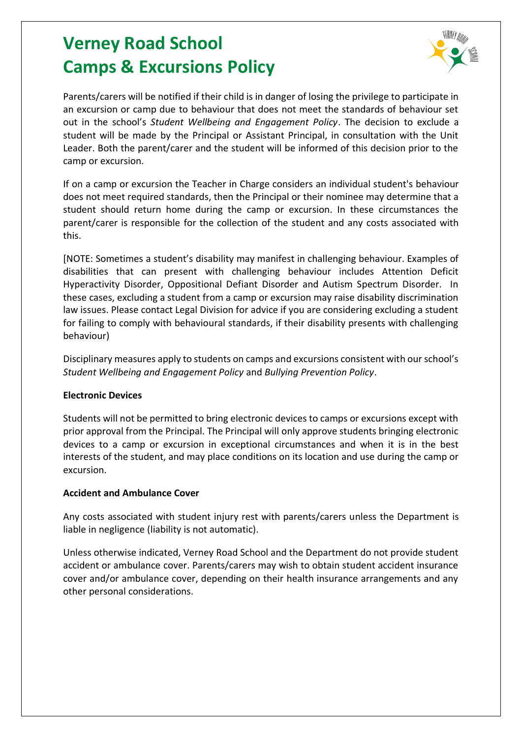

Parents/carers will be notified if their child is in danger of losing the privilege to participate in an excursion or camp due to behaviour that does not meet the standards of behaviour set out in the school's *Student Wellbeing and Engagement Policy*. The decision to exclude a student will be made by the Principal or Assistant Principal, in consultation with the Unit Leader. Both the parent/carer and the student will be informed of this decision prior to the camp or excursion.

If on a camp or excursion the Teacher in Charge considers an individual student's behaviour does not meet required standards, then the Principal or their nominee may determine that a student should return home during the camp or excursion. In these circumstances the parent/carer is responsible for the collection of the student and any costs associated with this.

[NOTE: Sometimes a student's disability may manifest in challenging behaviour. Examples of disabilities that can present with challenging behaviour includes Attention Deficit Hyperactivity Disorder, Oppositional Defiant Disorder and Autism Spectrum Disorder. In these cases, excluding a student from a camp or excursion may raise disability discrimination law issues. Please contact Legal Division for advice if you are considering excluding a student for failing to comply with behavioural standards, if their disability presents with challenging behaviour)

Disciplinary measures apply to students on camps and excursions consistent with our school's *Student Wellbeing and Engagement Policy* and *Bullying Prevention Policy*.

### **Electronic Devices**

Students will not be permitted to bring electronic devices to camps or excursions except with prior approval from the Principal. The Principal will only approve students bringing electronic devices to a camp or excursion in exceptional circumstances and when it is in the best interests of the student, and may place conditions on its location and use during the camp or excursion.

### **Accident and Ambulance Cover**

Any costs associated with student injury rest with parents/carers unless the Department is liable in negligence (liability is not automatic).

Unless otherwise indicated, Verney Road School and the Department do not provide student accident or ambulance cover. Parents/carers may wish to obtain student accident insurance cover and/or ambulance cover, depending on their health insurance arrangements and any other personal considerations.